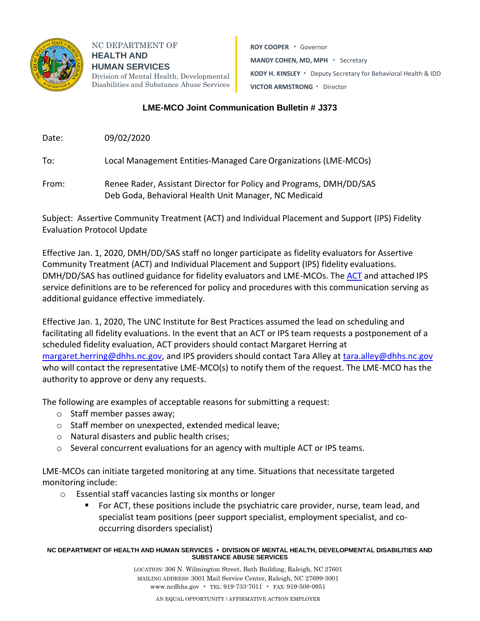

NC DEPARTMENT OF **HEALTH AND HUMAN SERVICES** Division of Mental Health, Developmental Disabilities and Substance Abuse Services

**ROY COOPER** • Governor **MANDY COHEN, MD, MPH** • Secretary **KODY H. KINSLEY** • Deputy Secretary for Behavioral Health & IDD **VICTOR ARMSTRONG** • Director

## **LME-MCO Joint Communication Bulletin # J373**

Date: 09/02/2020

To: Local Management Entities-Managed CareOrganizations (LME-MCOs)

From: Renee Rader, Assistant Director for Policy and Programs, DMH/DD/SAS Deb Goda, Behavioral Health Unit Manager, NC Medicaid

Subject: Assertive Community Treatment (ACT) and Individual Placement and Support (IPS) Fidelity Evaluation Protocol Update

Effective Jan. 1, 2020, DMH/DD/SAS staff no longer participate as fidelity evaluators for Assertive Community Treatment (ACT) and Individual Placement and Support (IPS) fidelity evaluations. DMH/DD/SAS has outlined guidance for fidelity evaluators and LME-MCOs. The [ACT](https://files.nc.gov/ncdhhs/documents/files/State-Funded-ACT-Policy-12-15-19.pdf) and attached IPS service definitions are to be referenced for policy and procedures with this communication serving as additional guidance effective immediately.

Effective Jan. 1, 2020, The UNC Institute for Best Practices assumed the lead on scheduling and facilitating all fidelity evaluations. In the event that an ACT or IPS team requests a postponement of a scheduled fidelity evaluation, ACT providers should contact Margaret Herring at [margaret.herring@dhhs.nc.gov,](mailto:margaret.herring@dhhs.nc.gov) and IPS providers should contact Tara Alley at [tara.alley@dhhs.nc.gov](mailto:tara.alley@dhhs.nc.gov) who will contact the representative LME-MCO(s) to notify them of the request. The LME-MCO has the authority to approve or deny any requests.

The following are examples of acceptable reasons for submitting a request:

- o Staff member passes away;
- o Staff member on unexpected, extended medical leave;
- o Natural disasters and public health crises;
- o Several concurrent evaluations for an agency with multiple ACT or IPS teams.

LME-MCOs can initiate targeted monitoring at any time. Situations that necessitate targeted monitoring include:

- o Essential staff vacancies lasting six months or longer
	- For ACT, these positions include the psychiatric care provider, nurse, team lead, and specialist team positions (peer support specialist, employment specialist, and cooccurring disorders specialist)

## **NC DEPARTMENT OF HEALTH AND HUMAN SERVICES • DIVISION OF MENTAL HEALTH, DEVELOPMENTAL DISABILITIES AND SUBSTANCE ABUSE SERVICES**

LOCATION: 306 N. Wilmington Street, Bath Building, Raleigh, NC 27601 MAILING ADDRESS: 3001 Mail Service Center, Raleigh, NC 27699-3001 www.ncdhhs.gov • TEL: 919-733-7011 • FAX: 919-508-0951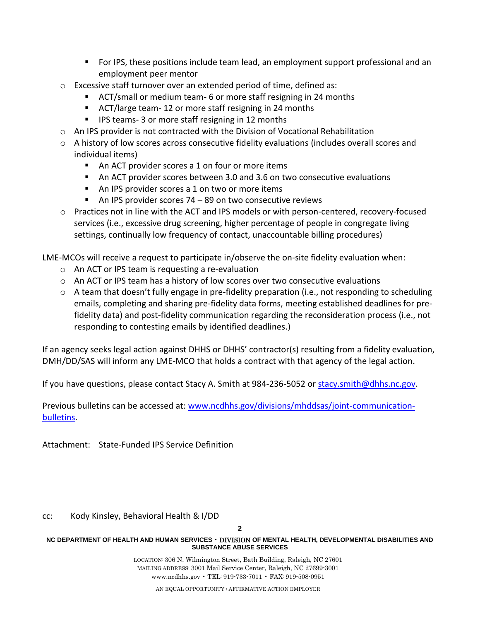- For IPS, these positions include team lead, an employment support professional and an employment peer mentor
- o Excessive staff turnover over an extended period of time, defined as:
	- ACT/small or medium team- 6 or more staff resigning in 24 months
	- ACT/large team-12 or more staff resigning in 24 months
	- IPS teams- 3 or more staff resigning in 12 months
- $\circ$  An IPS provider is not contracted with the Division of Vocational Rehabilitation
- $\circ$  A history of low scores across consecutive fidelity evaluations (includes overall scores and individual items)
	- An ACT provider scores a 1 on four or more items
	- An ACT provider scores between 3.0 and 3.6 on two consecutive evaluations
	- An IPS provider scores a 1 on two or more items
	- An IPS provider scores 74 89 on two consecutive reviews
- o Practices not in line with the ACT and IPS models or with person-centered, recovery-focused services (i.e., excessive drug screening, higher percentage of people in congregate living settings, continually low frequency of contact, unaccountable billing procedures)

LME-MCOs will receive a request to participate in/observe the on-site fidelity evaluation when:

- o An ACT or IPS team is requesting a re-evaluation
- o An ACT or IPS team has a history of low scores over two consecutive evaluations
- $\circ$  A team that doesn't fully engage in pre-fidelity preparation (i.e., not responding to scheduling emails, completing and sharing pre-fidelity data forms, meeting established deadlines for prefidelity data) and post-fidelity communication regarding the reconsideration process (i.e., not responding to contesting emails by identified deadlines.)

If an agency seeks legal action against DHHS or DHHS' contractor(s) resulting from a fidelity evaluation, DMH/DD/SAS will inform any LME-MCO that holds a contract with that agency of the legal action.

If you have questions, please contact Stacy A. Smith at 984-236-5052 or [stacy.smith@dhhs.nc.gov.](mailto:stacy.smith@dhhs.nc.gov)

Previous bulletins can be accessed at: [www.ncdhhs.gov/divisions/mhddsas/joint-communication](http://www.ncdhhs.gov/divisions/mhddsas/joint-communication-bulletins)[bulletins.](http://www.ncdhhs.gov/divisions/mhddsas/joint-communication-bulletins)

Attachment: State-Funded IPS Service Definition

cc: Kody Kinsley, Behavioral Health & I/DD

**2**

## **NC DEPARTMENT OF HEALTH AND HUMAN SERVICES** • DIVISION **OF MENTAL HEALTH, DEVELOPMENTAL DISABILITIES AND SUBSTANCE ABUSE SERVICES**

LOCATION: 306 N. Wilmington Street, Bath Building, Raleigh, NC 27601 MAILING ADDRESS: 3001 Mail Service Center, Raleigh, NC 27699-3001 www.ncdhhs.gov • TEL: 919-733-7011 • FAX: 919-508-0951